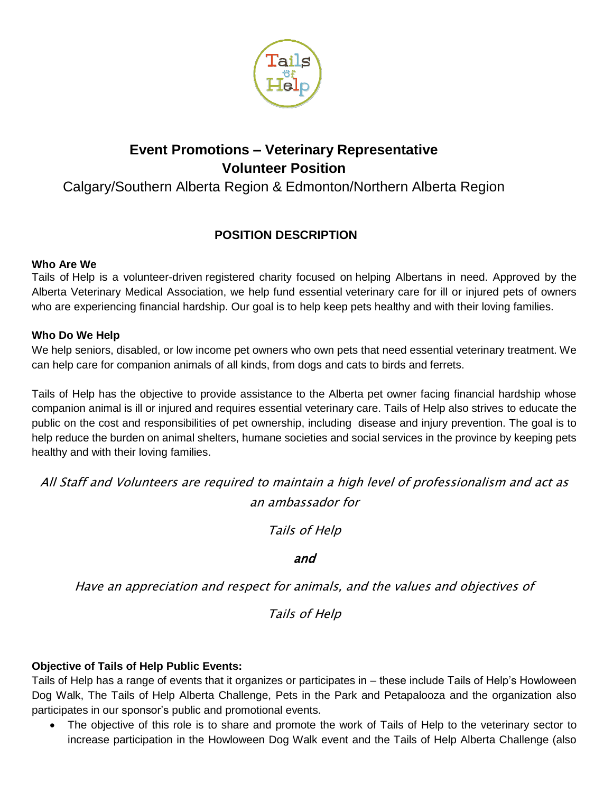

# **Event Promotions – Veterinary Representative Volunteer Position**

## Calgary/Southern Alberta Region & Edmonton/Northern Alberta Region

### **POSITION DESCRIPTION**

#### **Who Are We**

Tails of Help is a volunteer-driven registered charity focused on helping Albertans in need. Approved by the Alberta Veterinary Medical Association, we help fund essential veterinary care for ill or injured pets of owners who are experiencing financial hardship. Our goal is to help keep pets healthy and with their loving families.

#### **Who Do We Help**

We help seniors, disabled, or low income pet owners who own pets that need essential veterinary treatment. We can help care for companion animals of all kinds, from dogs and cats to birds and ferrets.

Tails of Help has the objective to provide assistance to the Alberta pet owner facing financial hardship whose companion animal is ill or injured and requires essential veterinary care. Tails of Help also strives to educate the public on the cost and responsibilities of pet ownership, including disease and injury prevention. The goal is to help reduce the burden on animal shelters, humane societies and social services in the province by keeping pets healthy and with their loving families.

All Staff and Volunteers are required to maintain a high level of professionalism and act as an ambassador for

Tails of Help

#### and

Have an appreciation and respect for animals, and the values and objectives of

Tails of Help

#### **Objective of Tails of Help Public Events:**

Tails of Help has a range of events that it organizes or participates in – these include Tails of Help's Howloween Dog Walk, The Tails of Help Alberta Challenge, Pets in the Park and Petapalooza and the organization also participates in our sponsor's public and promotional events.

 The objective of this role is to share and promote the work of Tails of Help to the veterinary sector to increase participation in the Howloween Dog Walk event and the Tails of Help Alberta Challenge (also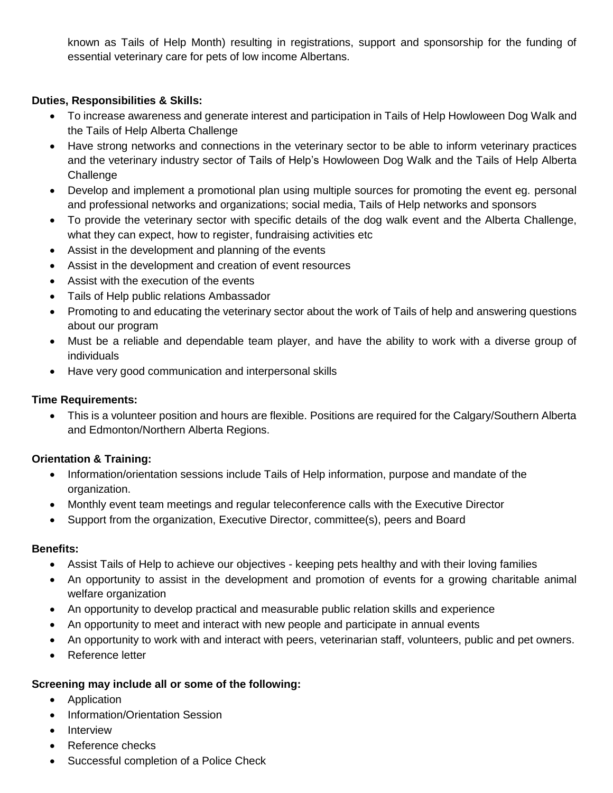known as Tails of Help Month) resulting in registrations, support and sponsorship for the funding of essential veterinary care for pets of low income Albertans.

#### **Duties, Responsibilities & Skills:**

- To increase awareness and generate interest and participation in Tails of Help Howloween Dog Walk and the Tails of Help Alberta Challenge
- Have strong networks and connections in the veterinary sector to be able to inform veterinary practices and the veterinary industry sector of Tails of Help's Howloween Dog Walk and the Tails of Help Alberta **Challenge**
- Develop and implement a promotional plan using multiple sources for promoting the event eg. personal and professional networks and organizations; social media, Tails of Help networks and sponsors
- To provide the veterinary sector with specific details of the dog walk event and the Alberta Challenge, what they can expect, how to register, fundraising activities etc
- Assist in the development and planning of the events
- Assist in the development and creation of event resources
- Assist with the execution of the events
- Tails of Help public relations Ambassador
- Promoting to and educating the veterinary sector about the work of Tails of help and answering questions about our program
- Must be a reliable and dependable team player, and have the ability to work with a diverse group of individuals
- Have very good communication and interpersonal skills

#### **Time Requirements:**

 This is a volunteer position and hours are flexible. Positions are required for the Calgary/Southern Alberta and Edmonton/Northern Alberta Regions.

#### **Orientation & Training:**

- Information/orientation sessions include Tails of Help information, purpose and mandate of the organization.
- Monthly event team meetings and regular teleconference calls with the Executive Director
- Support from the organization, Executive Director, committee(s), peers and Board

#### **Benefits:**

- Assist Tails of Help to achieve our objectives keeping pets healthy and with their loving families
- An opportunity to assist in the development and promotion of events for a growing charitable animal welfare organization
- An opportunity to develop practical and measurable public relation skills and experience
- An opportunity to meet and interact with new people and participate in annual events
- An opportunity to work with and interact with peers, veterinarian staff, volunteers, public and pet owners.
- Reference letter

#### **Screening may include all or some of the following:**

- Application
- Information/Orientation Session
- Interview
- Reference checks
- Successful completion of a Police Check